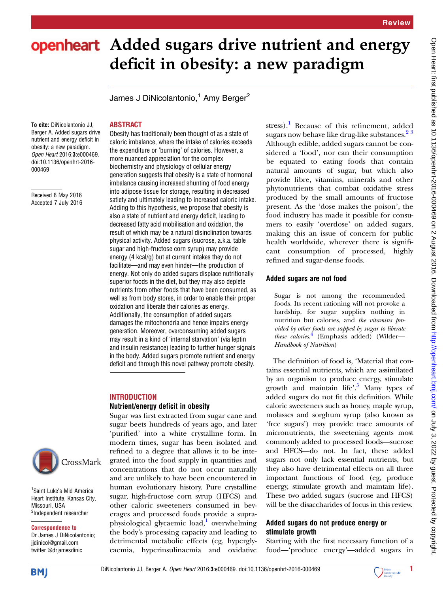# openheart Added sugars drive nutrient and energy deficit in obesity: a new paradigm

James J DiNicolantonio,<sup>1</sup> Amy Berger<sup>2</sup>

To cite: DiNicolantonio JJ, Berger A. Added sugars drive nutrient and energy deficit in obesity: a new paradigm. Open Heart 2016;3:e000469. doi:10.1136/openhrt-2016- 000469

Received 8 May 2016 Accepted 7 July 2016



Obesity has traditionally been thought of as a state of caloric imbalance, where the intake of calories exceeds the expenditure or 'burning' of calories. However, a more nuanced appreciation for the complex biochemistry and physiology of cellular energy generation suggests that obesity is a state of hormonal imbalance causing increased shunting of food energy into adipose tissue for storage, resulting in decreased satiety and ultimately leading to increased caloric intake. Adding to this hypothesis, we propose that obesity is also a state of nutrient and energy deficit, leading to decreased fatty acid mobilisation and oxidation, the result of which may be a natural disinclination towards physical activity. Added sugars (sucrose, a.k.a. table sugar and high-fructose corn syrup) may provide energy (4 kcal/g) but at current intakes they do not facilitate—and may even hinder—the production of energy. Not only do added sugars displace nutritionally superior foods in the diet, but they may also deplete nutrients from other foods that have been consumed, as well as from body stores, in order to enable their proper oxidation and liberate their calories as energy. Additionally, the consumption of added sugars damages the mitochondria and hence impairs energy generation. Moreover, overconsuming added sugars may result in a kind of 'internal starvation' (via leptin and insulin resistance) leading to further hunger signals in the body. Added sugars promote nutrient and energy deficit and through this novel pathway promote obesity.

### **INTRODUCTION**

## Nutrient/energy deficit in obesity

Sugar was first extracted from sugar cane and sugar beets hundreds of years ago, and later 'purified' into a white crystalline form. In modern times, sugar has been isolated and refined to a degree that allows it to be integrated into the food supply in quantities and concentrations that do not occur naturally and are unlikely to have been encountered in human evolutionary history. Pure crystalline sugar, high-fructose corn syrup (HFCS) and other caloric sweeteners consumed in beverages and processed foods provide a supraphysiological glycaemic load, overwhelming the body's processing capacity and leading to detrimental metabolic effects (eg, hyperglycaemia, hyperinsulinaemia and oxidative

stress).<sup>[1](#page-3-0)</sup> Because of this refinement, added sugars now behave like drug-like substances. $2^3$ Although edible, added sugars cannot be considered a 'food', nor can their consumption be equated to eating foods that contain natural amounts of sugar, but which also provide fibre, vitamins, minerals and other phytonutrients that combat oxidative stress produced by the small amounts of fructose present. As the 'dose makes the poison', the food industry has made it possible for consumers to easily 'overdose' on added sugars, making this an issue of concern for public health worldwide, wherever there is significant consumption of processed, highly refined and sugar-dense foods.

## Added sugars are not food

Sugar is not among the recommended foods. Its recent rationing will not provoke a hardship, for sugar supplies nothing in nutrition but calories, and the vitamins provided by other foods are sapped by sugar to liberate these calories.<sup>[4](#page-3-0)</sup> (Emphasis added) (Wilder-Handbook of Nutrition)

The definition of food is, 'Material that contains essential nutrients, which are assimilated by an organism to produce energy, stimulate growth and maintain life'. [5](#page-3-0) Many types of added sugars do not fit this definition. While caloric sweeteners such as honey, maple syrup, molasses and sorghum syrup (also known as 'free sugars') may provide trace amounts of micronutrients, the sweetening agents most commonly added to processed foods—sucrose and HFCS—do not. In fact, these added sugars not only lack essential nutrients, but they also have detrimental effects on all three important functions of food (eg, produce energy, stimulate growth and maintain life). These two added sugars (sucrose and HFCS) will be the disaccharides of focus in this review.

## Added sugars do not produce energy or stimulate growth

Starting with the first necessary function of a food—'produce energy'—added sugars in

<sup>1</sup> Saint Luke's Mid America Heart Institute, Kansas City,

CrossMark

Missouri, USA <sup>2</sup>Independent researcher

Correspondence to Dr James J DiNicolantonio; jjdinicol@gmail.com twitter @drjamesdinic

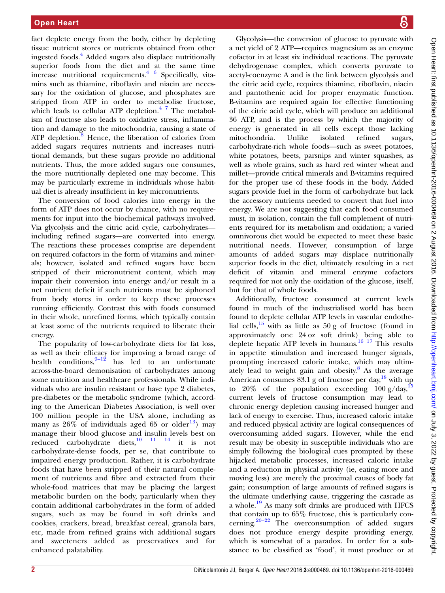fact deplete energy from the body, either by depleting tissue nutrient stores or nutrients obtained from other ingested foods.[4](#page-3-0) Added sugars also displace nutritionally superior foods from the diet and at the same time increase nutritional requirements. $4 \times 6$  Specifically, vitamins such as thiamine, riboflavin and niacin are necessary for the oxidation of glucose, and phosphates are stripped from ATP in order to metabolise fructose, which leads to cellular ATP depletion. $47$  The metabolism of fructose also leads to oxidative stress, inflammation and damage to the mitochondria, causing a state of ATP depletion. $8$  Hence, the liberation of calories from added sugars requires nutrients and increases nutritional demands, but these sugars provide no additional nutrients. Thus, the more added sugars one consumes, the more nutritionally depleted one may become. This may be particularly extreme in individuals whose habitual diet is already insufficient in key micronutrients.

The conversion of food calories into energy in the form of ATP does not occur by chance, with no requirements for input into the biochemical pathways involved. Via glycolysis and the citric acid cycle, carbohydrates including refined sugars—are converted into energy. The reactions these processes comprise are dependent on required cofactors in the form of vitamins and minerals; however, isolated and refined sugars have been stripped of their micronutrient content, which may impair their conversion into energy and/or result in a net nutrient deficit if such nutrients must be siphoned from body stores in order to keep these processes running efficiently. Contrast this with foods consumed in their whole, unrefined forms, which typically contain at least some of the nutrients required to liberate their energy.

The popularity of low-carbohydrate diets for fat loss, as well as their efficacy for improving a broad range of health conditions,  $9-12$  $9-12$  has led to an unfortunate across-the-board demonisation of carbohydrates among some nutrition and healthcare professionals. While individuals who are insulin resistant or have type 2 diabetes, pre-diabetes or the metabolic syndrome (which, according to the American Diabetes Association, is well over 100 million people in the USA alone, including as many as  $26\%$  of individuals aged 65 or older<sup>13</sup>) may manage their blood glucose and insulin levels best on reduced carbohydrate diets, $10^{11}$   $14$  it is not carbohydrate-dense foods, per se, that contribute to impaired energy production. Rather, it is carbohydrate foods that have been stripped of their natural complement of nutrients and fibre and extracted from their whole-food matrices that may be placing the largest metabolic burden on the body, particularly when they contain additional carbohydrates in the form of added sugars, such as may be found in soft drinks and cookies, crackers, bread, breakfast cereal, granola bars, etc, made from refined grains with additional sugars and sweeteners added as preservatives and for enhanced palatability.

Glycolysis—the conversion of glucose to pyruvate with a net yield of 2 ATP—requires magnesium as an enzyme cofactor in at least six individual reactions. The pyruvate dehydrogenase complex, which converts pyruvate to acetyl-coenzyme A and is the link between glycolysis and the citric acid cycle, requires thiamine, riboflavin, niacin and pantothenic acid for proper enzymatic function. B-vitamins are required again for effective functioning of the citric acid cycle, which will produce an additional 36 ATP, and is the process by which the majority of energy is generated in all cells except those lacking mitochondria. Unlike isolated refined sugars, carbohydrate-rich whole foods—such as sweet potatoes, white potatoes, beets, parsnips and winter squashes, as well as whole grains, such as hard red winter wheat and millet—provide critical minerals and B-vitamins required for the proper use of these foods in the body. Added sugars provide fuel in the form of carbohydrate but lack the accessory nutrients needed to convert that fuel into energy. We are not suggesting that each food consumed must, in isolation, contain the full complement of nutrients required for its metabolism and oxidation; a varied omnivorous diet would be expected to meet these basic nutritional needs. However, consumption of large amounts of added sugars may displace nutritionally superior foods in the diet, ultimately resulting in a net deficit of vitamin and mineral enzyme cofactors required for not only the oxidation of the glucose, itself, but for that of whole foods.

Additionally, fructose consumed at current levels found in much of the industrialised world has been found to deplete cellular ATP levels in vascular endothelial cells,  $15$  with as little as  $50 g$  of fructose (found in approximately one 24 oz soft drink) being able to deplete hepatic ATP levels in humans.<sup>[16 17](#page-4-0)</sup> This results in appetite stimulation and increased hunger signals, prompting increased caloric intake, which may ultimately lead to weight gain and obesity. $8$  As the average American consumes  $83.1$  g of fructose per day,<sup>[18](#page-4-0)</sup> with up to 20% of the population exceeding  $100 \text{ g/day}^1$ current levels of fructose consumption may lead to chronic energy depletion causing increased hunger and lack of energy to exercise. Thus, increased caloric intake and reduced physical activity are logical consequences of overconsuming added sugars. However, while the end result may be obesity in susceptible individuals who are simply following the biological cues prompted by these hijacked metabolic processes, increased caloric intake and a reduction in physical activity (ie, eating more and moving less) are merely the proximal causes of body fat gain; consumption of large amounts of refined sugars is the ultimate underlying cause, triggering the cascade as a whole.<sup>[19](#page-4-0)</sup> As many soft drinks are produced with HFCS that contain up to 65% fructose, this is particularly concerning. $20-22$  $20-22$  The overconsumption of added sugars does not produce energy despite providing energy, which is somewhat of a paradox. In order for a substance to be classified as 'food', it must produce or at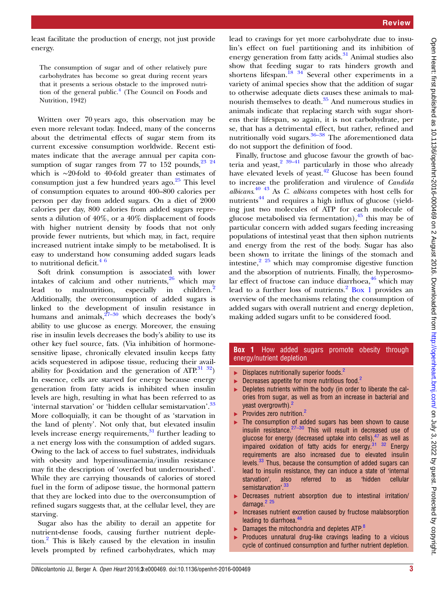least facilitate the production of energy, not just provide energy.

The consumption of sugar and of other relatively pure carbohydrates has become so great during recent years that it presents a serious obstacle to the improved nutrition of the general public. $4$  (The Council on Foods and Nutrition, 1942)

Written over 70 years ago, this observation may be even more relevant today. Indeed, many of the concerns about the detrimental effects of sugar stem from its current excessive consumption worldwide. Recent estimates indicate that the average annual per capita consumption of sugar ranges from 77 to 152 pounds,  $23^{23}$ which is ∼20-fold to 40-fold greater than estimates of consumption just a few hundred years ago. $25$  This level of consumption equates to around 400–800 calories per person per day from added sugars. On a diet of 2000 calories per day, 800 calories from added sugars represents a dilution of 40%, or a 40% displacement of foods with higher nutrient density by foods that not only provide fewer nutrients, but which may, in fact, require increased nutrient intake simply to be metabolised. It is easy to understand how consuming added sugars leads to nutritional deficit. $4^6$ 

Soft drink consumption is associated with lower intakes of calcium and other nutrients, $26$  which may lead to malnutrition, especially in children.<sup>[2](#page-3-0)</sup> Additionally, the overconsumption of added sugars is linked to the development of insulin resistance in humans and animals,  $27-30$  $27-30$  which decreases the body's ability to use glucose as energy. Moreover, the ensuing rise in insulin levels decreases the body's ability to use its other key fuel source, fats. (Via inhibition of hormonesensitive lipase, chronically elevated insulin keeps fatty acids sequestered in adipose tissue, reducing their availability for β-oxidation and the generation of ATP.<sup>31</sup> <sup>32</sup>) In essence, cells are starved for energy because energy generation from fatty acids is inhibited when insulin levels are high, resulting in what has been referred to as 'internal starvation' or 'hidden cellular semistarvation'.<sup>[33](#page-4-0)</sup> More colloquially, it can be thought of as 'starvation in the land of plenty'. Not only that, but elevated insulin levels increase energy requirements, $31$  further leading to a net energy loss with the consumption of added sugars. Owing to the lack of access to fuel substrates, individuals with obesity and hyperinsulinaemia/insulin resistance may fit the description of 'overfed but undernourished'. While they are carrying thousands of calories of stored fuel in the form of adipose tissue, the hormonal pattern that they are locked into due to the overconsumption of refined sugars suggests that, at the cellular level, they are starving.

Sugar also has the ability to derail an appetite for nutrient-dense foods, causing further nutrient depletion.[2](#page-3-0) This is likely caused by the elevation in insulin levels prompted by refined carbohydrates, which may

lead to cravings for yet more carbohydrate due to insulin's effect on fuel partitioning and its inhibition of energy generation from fatty acids.<sup>[31](#page-4-0)</sup> Animal studies also show that feeding sugar to rats hinders growth and shortens lifespan.<sup>[18 34](#page-4-0)</sup> Several other experiments in a variety of animal species show that the addition of sugar to otherwise adequate diets causes these animals to malnourish themselves to death. $35$  And numerous studies in animals indicate that replacing starch with sugar shortens their lifespan, so again, it is not carbohydrate, per se, that has a detrimental effect, but rather, refined and nutritionally void sugars. $36-38$  $36-38$  The aforementioned data do not support the definition of food.

Finally, fructose and glucose favour the growth of bacteria and yeast,  $2^{39-41}$  $2^{39-41}$  particularly in those who already have elevated levels of yeast.<sup>[42](#page-4-0)</sup> Glucose has been found to increase the proliferation and virulence of Candida albicans. $40\,43\,$  As C. albicans competes with host cells for nutrients $^{44}$  $^{44}$  $^{44}$  and requires a high influx of glucose (yielding just two molecules of ATP for each molecule of glucose metabolised via fermentation),  $45$  this may be of particular concern with added sugars feeding increasing populations of intestinal yeast that then siphon nutrients and energy from the rest of the body. Sugar has also been shown to irritate the linings of the stomach and intestine, $2^{25}$  which may compromise digestive function and the absorption of nutrients. Finally, the hyperosmolar effect of fructose can induce diarrhoea, $46$  which may lead to a further loss of nutrients. $\frac{2}{1}$  $\frac{2}{1}$  $\frac{2}{1}$  Box 1 provides an overview of the mechanisms relating the consumption of added sugars with overall nutrient and energy depletion, making added sugars unfit to be considered food.

#### **Box 1** How added sugars promote obesity through energy/nutrient depletion

- $\triangleright$  Displaces nutritionally superior foods.<sup>[2](#page-3-0)</sup>
- $\blacktriangleright$  Decreases appetite for more nutritious food.<sup>2</sup>
- ▶ Depletes nutrients within the body (in order to liberate the calories from sugar, as well as from an increase in bacterial and yeast overgrowth).<sup>[2](#page-3-0)</sup>
- Provides zero nutrition.<sup>[2](#page-3-0)</sup>
- The consumption of added sugars has been shown to cause insulin resistance. $27-30$  This will result in decreased use of glucose for energy (decreased uptake into cells),  $47$  as well as impaired oxidation of fatty acids for energy.[31 32](#page-4-0) Energy requirements are also increased due to elevated insulin levels.<sup>[33](#page-4-0)</sup> Thus, because the consumption of added sugars can lead to insulin resistance, they can induce a state of 'internal starvation', also referred to as 'hidden cellular semistarvation'. [33](#page-4-0)
- Decreases nutrient absorption due to intestinal irritation/ damage.<sup>[2](#page-3-0)</sup> [25](#page-4-0)
- ▸ Increases nutrient excretion caused by fructose malabsorption leading to diarrhoea.<sup>[46](#page-4-0)</sup>
- Damages the mitochondria and depletes ATP<sup>[8](#page-4-0)</sup>
- Produces unnatural drug-like cravings leading to a vicious cycle of continued consumption and further nutrient depletion.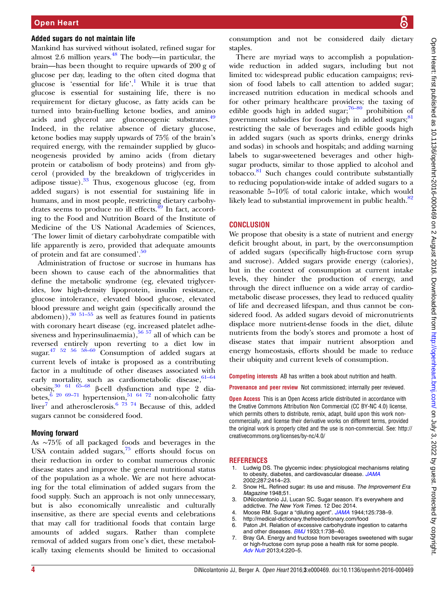#### <span id="page-3-0"></span>Added sugars do not maintain life

Mankind has survived without isolated, refined sugar for almost 2.6 million years. $48$  The body—in particular, the brain—has been thought to require upwards of 200 g of glucose per day, leading to the often cited dogma that glucose is 'essential for life'. <sup>1</sup> While it is true that glucose is essential for sustaining life, there is no requirement for dietary glucose, as fatty acids can be turned into brain-fuelling ketone bodies, and amino acids and glycerol are gluconeogenic substrates.<sup>[49](#page-4-0)</sup> Indeed, in the relative absence of dietary glucose, ketone bodies may supply upwards of 75% of the brain's required energy, with the remainder supplied by gluconeogenesis provided by amino acids ( from dietary protein or catabolism of body proteins) and from glycerol (provided by the breakdown of triglycerides in adipose tissue). $33$  Thus, exogenous glucose (eg, from added sugars) is not essential for sustaining life in humans, and in most people, restricting dietary carbohy-drates seems to produce no ill effects.<sup>[49](#page-4-0)</sup> In fact, according to the Food and Nutrition Board of the Institute of Medicine of the US National Academies of Sciences, 'The lower limit of dietary carbohydrate compatible with life apparently is zero, provided that adequate amounts of protein and fat are consumed'. [50](#page-4-0)

Administration of fructose or sucrose in humans has been shown to cause each of the abnormalities that define the metabolic syndrome (eg, elevated triglycerides, low high-density lipoprotein, insulin resistance, glucose intolerance, elevated blood glucose, elevated blood pressure and weight gain (specifically around the abdomen)), $30\frac{51-55}{9}$  $30\frac{51-55}{9}$  $30\frac{51-55}{9}$  $30\frac{51-55}{9}$  as well as features found in patients with coronary heart disease (eg, increased platelet adhesiveness and hyperinsulinaemia),  $56\frac{57}{1}$  all of which can be reversed entirely upon reverting to a diet low in  $sugar.<sup>47</sup>$  <sup>52 56 58–60</sup> Consumption of added sugars at current levels of intake is proposed as a contributing factor in a multitude of other diseases associated with early mortality, such as cardiometabolic disease,  $61-64$  $\frac{30}{61}$  61 65–68 β-cell dysfunction and type 2 diabetes,  $\frac{6}{6}$  [20](#page-4-0) [69](#page-5-0)–71 hypertension,  $\frac{51}{64}$   $\frac{64}{72}$  non-alcoholic fatty liver<sup>7</sup> and atherosclerosis.<sup>6</sup> <sup>73</sup> <sup>74</sup> Because of this, added sugars cannot be considered food.

### Moving forward

As ∼75% of all packaged foods and beverages in the USA contain added sugars, $\frac{75}{6}$  $\frac{75}{6}$  $\frac{75}{6}$  efforts should focus on their reduction in order to combat numerous chronic disease states and improve the general nutritional status of the population as a whole. We are not here advocating for the total elimination of added sugars from the food supply. Such an approach is not only unnecessary, but is also economically unrealistic and culturally insensitive, as there are special events and celebrations that may call for traditional foods that contain large amounts of added sugars. Rather than complete removal of added sugars from one's diet, these metabolically taxing elements should be limited to occasional

consumption and not be considered daily dietary staples.

There are myriad ways to accomplish a populationwide reduction in added sugars, including but not limited to: widespread public education campaigns; revision of food labels to call attention to added sugar; increased nutrition education in medical schools and for other primary healthcare providers; the taxing of edible goods high in added sugar; $76-80$  $76-80$  prohibition of government subsidies for foods high in added sugars;<sup>[81](#page-5-0)</sup> restricting the sale of beverages and edible goods high in added sugars (such as sports drinks, energy drinks and sodas) in schools and hospitals; and adding warning labels to sugar-sweetened beverages and other highsugar products, similar to those applied to alcohol and tobacco.[81](#page-5-0) Such changes could contribute substantially to reducing population-wide intake of added sugars to a reasonable 5–10% of total caloric intake, which would likely lead to substantial improvement in public health. $82$ 

### **CONCLUSION**

We propose that obesity is a state of nutrient and energy deficit brought about, in part, by the overconsumption of added sugars (specifically high-fructose corn syrup and sucrose). Added sugars provide energy (calories), but in the context of consumption at current intake levels, they hinder the production of energy, and through the direct influence on a wide array of cardiometabolic disease processes, they lead to reduced quality of life and decreased lifespan, and thus cannot be considered food. As added sugars devoid of micronutrients displace more nutrient-dense foods in the diet, dilute nutrients from the body's stores and promote a host of disease states that impair nutrient absorption and energy homeostasis, efforts should be made to reduce their ubiquity and current levels of consumption.

Competing interests AB has written a book about nutrition and health.

Provenance and peer review Not commissioned; internally peer reviewed.

**Open Access** This is an Open Access article distributed in accordance with the Creative Commons Attribution Non Commercial (CC BY-NC 4.0) license, which permits others to distribute, remix, adapt, build upon this work noncommercially, and license their derivative works on different terms, provided the original work is properly cited and the use is non-commercial. See: [http://](http://creativecommons.org/licenses/by-nc/4.0/) [creativecommons.org/licenses/by-nc/4.0/](http://creativecommons.org/licenses/by-nc/4.0/)

#### **REFERENCES**

- 1. Ludwig DS. The glycemic index: physiological mechanisms relating to obesity, diabetes, and cardiovascular disease. [JAMA](http://dx.doi.org/10.1001/jama.287.18.2414) 2002;287:2414–23.
- 2. Snow HL. Refined sugar: its use and misuse. The Improvement Era Magazine 1948;51.
- 3. DiNicolantonio JJ, Lucan SC. Sugar season. It's everywhere and addictive. The New York Times. 12 Dec 2014.
- 4. Moose RM. Sugar a "diluting agent". [JAMA](http://dx.doi.org/10.1001/jama.1944.02850280054021) 1944;125:738-9.
- 5.<http://medical-dictionary.thefreedictionary.com/food>
- 6. Paton JH. Relation of excessive carbohydrate ingestion to catarrhs and other diseases. [BMJ](http://dx.doi.org/10.1136/bmj.1.3773.738) 1933;1:738–40.
- 7. Bray GA. Energy and fructose from beverages sweetened with sugar or high-fructose corn syrup pose a health risk for some people. [Adv Nutr](http://dx.doi.org/10.3945/an.112.002816) 2013;4:220–5.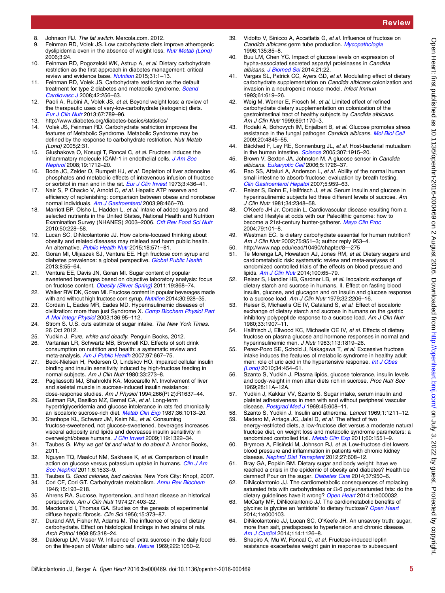- <span id="page-4-0"></span>8. Johnson RJ. The fat switch. Mercola.com. 2012.
- 9. Feinman RD, Volek JS. Low carbohydrate diets improve atherogenic dyslipidemia even in the absence of weight loss. [Nutr Metab \(Lond\)](http://dx.doi.org/10.1186/1743-7075-3-24) 2006;3:24.
- 10. Feinman RD, Pogozelski WK, Astrup A, et al. Dietary carbohydrate restriction as the first approach in diabetes management: critical review and evidence base. [Nutrition](http://dx.doi.org/10.1016/j.nut.2014.06.011) 2015;31:1-13.
- 11. Feinman RD, Volek JS. Carbohydrate restriction as the default treatment for type 2 diabetes and metabolic syndrome. [Scand](http://dx.doi.org/10.1080/14017430802014838) [Cardiovasc J](http://dx.doi.org/10.1080/14017430802014838) 2008;42:256–63.
- 12. Paoli A, Rubini A, Volek JS, et al. Beyond weight loss: a review of the therapeutic uses of very-low-carbohydrate (ketogenic) diets. [Eur J Clin Nutr](http://dx.doi.org/10.1038/ejcn.2013.116) 2013;67:789–96.
- 13.<http://www.diabetes.org/diabetes-basics/statistics/>
- 14. Volek JS, Feinman RD. Carbohydrate restriction improves the features of Metabolic Syndrome. Metabolic Syndrome may be defined by the response to carbohydrate restriction. Nutr Metab  $($ l ond) 2005;2:31.
- 15. Glushakova O, Kosugi T, Roncal C, et al. Fructose induces the inflammatory molecule ICAM-1 in endothelial cells. [J Am Soc](http://dx.doi.org/10.1681/ASN.2007121304) [Nephrol](http://dx.doi.org/10.1681/ASN.2007121304) 2008;19:1712–20.
- 16. Bode JC, Zelder O, Rumpelt HJ, et al. Depletion of liver adenosine phosphates and metabolic effects of intravenous infusion of fructose or sorbitol in man and in the rat. [Eur J Clin Invest](http://dx.doi.org/10.1111/j.1365-2362.1973.tb02211.x) 1973:3:436-41.
- 17. Nair S, P Chacko V, Arnold C, et al. Hepatic ATP reserve and efficiency of replenishing: comparison between obese and nonobese normal individuals. [Am J Gastroenterol](http://dx.doi.org/10.1111/j.1572-0241.2003.07221.x) 2003;98:466–70.
- 18. Marriott BP, Olsho L, Hadden L, et al. Intake of added sugars and selected nutrients in the United States, National Health and Nutrition Examination Survey (NHANES) 2003–2006. [Crit Rev Food Sci Nutr](http://dx.doi.org/10.1080/10408391003626223) 2010;50:228–58.
- 19. Lucan SC, DiNicolantonio JJ. How calorie-focused thinking about obesity and related diseases may mislead and harm public health. An alternative. [Public Health Nutr](http://dx.doi.org/10.1017/S1368980014002559) 2015:18:571-81.
- 20. Goran MI, Ulijaszek SJ, Ventura EE. High fructose corn syrup and diabetes prevalence: a global perspective. [Global Public Health](http://dx.doi.org/10.1080/17441692.2012.736257) 2013;8:55–64.
- 21. Ventura EE, Davis JN, Goran MI. Sugar content of popular sweetened beverages based on objective laboratory analysis: focus on fructose content. [Obesity \(Silver Spring\)](http://dx.doi.org/10.1038/oby.2010.255) 2011;19:868-74.
- 22. Walker RW DK, Goran MI. Fructose content in popular beverages made with and without high fructose corn syrup. [Nutrition](http://dx.doi.org/10.1016/j.nut.2014.04.003) 2014;30:928-35.
- 23. Cordain L, Eades MR, Eades MD. Hyperinsulinemic diseases of civilization: more than just Syndrome X. [Comp Biochem Physiol Part](http://dx.doi.org/10.1016/S1095-6433(03)00011-4) [A Mol Integr Physiol](http://dx.doi.org/10.1016/S1095-6433(03)00011-4) 2003;136:95–112.
- 24. Strom S. U.S. cuts estimate of sugar intake. The New York Times. 26 Oct 2012.
- 25. Yudkin J. Pure, white and deadly. Penguin Books, 2012.<br>26. Vartanian L.B. Schwartz MB. Brownell KD. Effects of soft
- 26. Vartanian LR, Schwartz MB, Brownell KD. Effects of soft drink consumption on nutrition and health: a systematic review and meta-analysis. [Am J Public Health](http://dx.doi.org/10.2105/AJPH.2005.083782) 2007;97:667–75.
- 27. Beck-Nielsen H, Pedersen O, Lindskov HO. Impaired cellular insulin binding and insulin sensitivity induced by high-fructose feeding in normal subjects. Am J Clin Nutr 1980;33:273-8.
- 28. Pagliassotti MJ, Shahrokhi KA, Moscarello M. Involvement of liver and skeletal muscle in sucrose-induced insulin resistance: dose-response studies. Am J Physiol 1994;266(Pt 2):R1637–44.
- 29. Gutman RA, Basilico MZ, Bernal CA, et al. Long-term hypertriglyceridemia and glucose intolerance in rats fed chronically an isocaloric sucrose-rich diet. [Metab Clin Exp](http://dx.doi.org/10.1016/0026-0495(87)90019-9) 1987;36:1013–20.
- 30. Stanhope KL, Schwarz JM, Keim NL, et al. Consuming fructose-sweetened, not glucose-sweetened, beverages increases visceral adiposity and lipids and decreases insulin sensitivity in overweight/obese humans. [J Clin Invest](http://dx.doi.org/10.1172/JCI37385) 2009;119:1322-34
- 31. Taubes G. Why we get fat and what to do about it. Anchor Books, 2011.
- 32. Nguyen TQ, Maalouf NM, Sakhaee K, et al. Comparison of insulin action on glucose versus potassium uptake in humans. [Clin J Am](http://dx.doi.org/10.2215/CJN.00750111) [Soc Nephrol](http://dx.doi.org/10.2215/CJN.00750111) 2011;6:1533–9.
- 33. Taubes G. Good calories, bad calories. New York City: Knopf, 2007.
- 34. Cori CF, Cori GT. Carbohydrate metabolism. [Annu Rev Biochem](http://dx.doi.org/10.1146/annurev.bi.15.070146.001205) 1946;15:193–218.
- 35. Ahrens RA. Sucrose, hypertension, and heart disease an historical perspective. Am J Clin Nutr 1974;27:403-22.
- 36. Macdonald I, Thomas GA. Studies on the genesis of experimental diffuse hepatic fibrosis. Clin Sci 1956;15:373-87.
- 37. Durand AM, Fisher M, Adams M. The influence of type of dietary carbohydrate. Effect on histological findings in two strains of rats. Arch Pathol 1968;85:318–24.
- 38. Dalderup LM, Visser W. Influence of extra sucrose in the daily food on the life-span of Wistar albino rats. [Nature](http://dx.doi.org/10.1038/2221050a0) 1969;222:1050-2.
- 39. Vidotto V, Sinicco A, Accattatis G, et al. Influence of fructose on Candida albicans germ tube production. [Mycopathologia](http://dx.doi.org/10.1007/BF00436456) 1996;135:85–8.
- 40. Buu LM, Chen YC. Impact of glucose levels on expression of hypha-associated secreted aspartyl proteinases in Candida albicans. [J Biomed Sci](http://dx.doi.org/10.1186/1423-0127-21-22) 2014;21:22.
- 41. Vargas SL, Patrick CC, Ayers GD, et al. Modulating effect of dietary carbohydrate supplementation on Candida albicans colonization and invasion in a neutropenic mouse model. Infect Immun 1993;61:619–26.
- 42. Weig M, Werner E, Frosch M, et al. Limited effect of refined carbohydrate dietary supplementation on colonization of the gastrointestinal tract of healthy subjects by Candida albicans. Am J Clin Nutr 1999;69:1170–3.
- 43. Rodaki A, Bohovych IM, Enjalbert B, et al. Glucose promotes stress resistance in the fungal pathogen Candida albicans. [Mol Biol Cell](http://dx.doi.org/10.1091/mbc.E09-01-0002) 2009;20:4845–55.
- 44. Bäckhed F, Ley RE, Sonnenburg JL, et al. Host-bacterial mutualism in the human intestine. [Science](http://dx.doi.org/10.1126/science.1104816) 2005;307:1915-20.
- 45. Brown V, Sexton JA, Johnston M. A glucose sensor in Candida albicans. [Eukaryotic Cell](http://dx.doi.org/10.1128/EC.00186-06) 2006;5:1726–37.
- Rao SS, Attaluri A, Anderson L, et al. Ability of the normal human small intestine to absorb fructose: evaluation by breath testing. [Clin Gastroenterol Hepatol](http://dx.doi.org/10.1016/j.cgh.2007.04.008) 2007;5:959–63.
- 47. Reiser S, Bohn E, Hallfrisch J, et al. Serum insulin and glucose in hyperinsulinemic subjects fed three different levels of sucrose. Am J Clin Nutr 1981;34:2348–58.
- 48. O'Keefe JH Jr, Cordain L. Cardiovascular disease resulting from a diet and lifestyle at odds with our Paleolithic genome: how to become a 21st-century hunter-gatherer. [Mayo Clin Proc](http://dx.doi.org/10.4065/79.1.101) 2004;79:101–8.
- 49. Westman EC. Is dietary carbohydrate essential for human nutrition? Am J Clin Nutr 2002;75:951–3; author reply 953–4.
- 50. [http://www.nap.edu/read/10490/chapter/8](http://www.nap.edu/read/10490/chapter/8—275)—275
- 51. Te Morenga LA, Howatson AJ, Jones RM, et al. Dietary sugars and cardiometabolic risk: systematic review and meta-analyses of randomized controlled trials of the effects on blood pressure and lipids. [Am J Clin Nutr](http://dx.doi.org/10.3945/ajcn.113.081521) 2014:100:65-79.
- 52. Reiser S, Handler HB, Gardner LB, et al. Isocaloric exchange of dietary starch and sucrose in humans. II. Effect on fasting blood insulin, glucose, and glucagon and on insulin and glucose response to a sucrose load. Am J Clin Nutr 1979;32:2206-16.
- 53. Reiser S, Michaelis OE IV, Cataland S, et al. Effect of isocaloric exchange of dietary starch and sucrose in humans on the gastric inhibitory polypeptide response to a sucrose load. Am J Clin Nutr 1980;33:1907–11.
- 54. Hallfrisch J, Ellwood KC, Michaelis OE IV, et al. Effects of dietary fructose on plasma glucose and hormone responses in normal and hyperinsulinemic men. J Nutr 1983;113:1819–26.
- 55. Perez-Pozo SE, Schold J, Nakagawa T, et al. Excessive fructose intake induces the features of metabolic syndrome in healthy adult men: role of uric acid in the hypertensive response. [Int J Obes](http://dx.doi.org/10.1038/ijo.2009.259) [\(Lond\)](http://dx.doi.org/10.1038/ijo.2009.259) 2010;34:454–61.
- 56. Szanto S, Yudkin J. Plasma lipids, glucose tolerance, insulin levels and body-weight in men after diets rich in sucrose. Proc Nutr Soc 1969;28:11A–12A.
- 57. Yudkin J, Kakkar VV, Szanto S. Sugar intake, serum insulin and platelet adhesiveness in men with and without peripheral vascular disease. [Postgrad Med J](http://dx.doi.org/10.1136/pgmj.45.527.608) 1969;45:608-11.
- 58. Szanto S, Yudkin J. Insulin and atheroma. Lancet 1969;1:1211–12.<br>59. Madero M. Arriaga JC. Jalal D. et al. The effect of two Madero M, Arriaga JC, Jalal D, et al. The effect of two
- energy-restricted diets, a low-fructose diet versus a moderate natural fructose diet, on weight loss and metabolic syndrome parameters: a randomized controlled trial. [Metab Clin Exp](http://dx.doi.org/10.1016/j.metabol.2011.04.001) 2011;60:1551-9.
- 60. Brymora A, Flisiński M, Johnson RJ, et al. Low-fructose diet lowers blood pressure and inflammation in patients with chronic kidney disease. [Nephrol Dial Transplant](http://dx.doi.org/10.1093/ndt/gfr223) 2012;27:608–12.
- 61. Bray GA, Popkin BM. Dietary sugar and body weight: have we reached a crisis in the epidemic of obesity and diabetes? Health be damned! Pour on the sugar. [Diabetes Care](http://dx.doi.org/10.2337/dc13-2085) 2014;37:950-6.
- 62. DiNicolantonio JJ. The cardiometabolic consequences of replacing saturated fats with carbohydrates or  $\Omega$ -6 polyunsaturated fats: do the dietary guidelines have it wrong? [Open Heart](http://dx.doi.org/10.1136/openhrt-2013-000032) 2014;1:e000032.
- 63. McCarty MF, DiNicolantonio JJ. The cardiometabolic benefits of glycine: is glycine an 'antidote' to dietary fructose? [Open Heart](http://dx.doi.org/10.1136/openhrt-2014-000103) 2014;1:e000103.
- 64. DiNicolantonio JJ, Lucan SC, O'Keefe JH. An unsavory truth: sugar, more than salt, predisposes to hypertension and chronic disease. [Am J Cardiol](http://dx.doi.org/10.1016/j.amjcard.2014.07.002) 2014;114:1126-8.
- 65. Shapiro A, Mu W, Roncal C, et al. Fructose-induced leptin resistance exacerbates weight gain in response to subsequent

Review